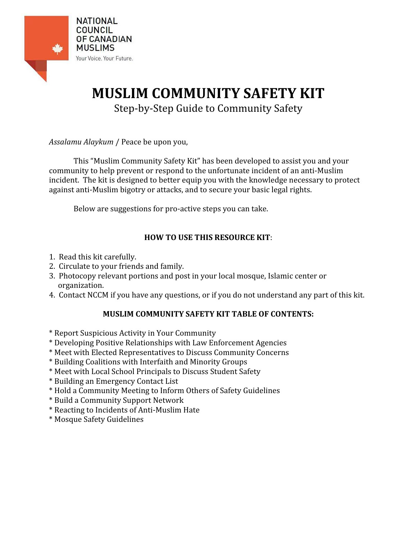

# **MUSLIM COMMUNITY SAFETY KIT**

Step‐by‐Step Guide to Community Safety

*Assalamu Alaykum* / Peace be upon you,

This "Muslim Community Safety Kit" has been developed to assist you and your community to help prevent or respond to the unfortunate incident of an anti‐Muslim incident. The kit is designed to better equip you with the knowledge necessary to protect against anti‐Muslim bigotry or attacks, and to secure your basic legal rights.

Below are suggestions for pro‐active steps you can take.

## **HOW TO USE THIS RESOURCE KIT**:

- 1. Read this kit carefully.
- 2. Circulate to your friends and family.
- 3. Photocopy relevant portions and post in your local mosque, Islamic center or organization.
- 4. Contact NCCM if you have any questions, or if you do not understand any part of this kit.

## **MUSLIM COMMUNITY SAFETY KIT TABLE OF CONTENTS:**

- \* Report Suspicious Activity in Your Community
- \* Developing Positive Relationships with Law Enforcement Agencies
- \* Meet with Elected Representatives to Discuss Community Concerns
- \* Building Coalitions with Interfaith and Minority Groups
- \* Meet with Local School Principals to Discuss Student Safety
- \* Building an Emergency Contact List
- \* Hold a Community Meeting to Inform Others of Safety Guidelines
- \* Build a Community Support Network
- \* Reacting to Incidents of Anti‐Muslim Hate
- \* Mosque Safety Guidelines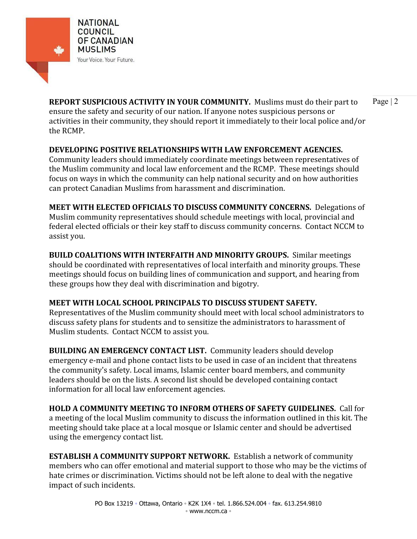

**REPORT SUSPICIOUS ACTIVITY IN YOUR COMMUNITY.** Muslims must do their part to Page | 2 ensure the safety and security of our nation. If anyone notes suspicious persons or activities in their community, they should report it immediately to their local police and/or the RCMP.

### **DEVELOPING POSITIVE RELATIONSHIPS WITH LAW ENFORCEMENT AGENCIES.**

Community leaders should immediately coordinate meetings between representatives of the Muslim community and local law enforcement and the RCMP. These meetings should focus on ways in which the community can help national security and on how authorities can protect Canadian Muslims from harassment and discrimination.

**MEET WITH ELECTED OFFICIALS TO DISCUSS COMMUNITY CONCERNS.** Delegations of Muslim community representatives should schedule meetings with local, provincial and federal elected officials or their key staff to discuss community concerns. Contact NCCM to assist you.

**BUILD COALITIONS WITH INTERFAITH AND MINORITY GROUPS.**  Similar meetings should be coordinated with representatives of local interfaith and minority groups. These meetings should focus on building lines of communication and support, and hearing from these groups how they deal with discrimination and bigotry.

## **MEET WITH LOCAL SCHOOL PRINCIPALS TO DISCUSS STUDENT SAFETY.**

Representatives of the Muslim community should meet with local school administrators to discuss safety plans for students and to sensitize the administrators to harassment of Muslim students. Contact NCCM to assist you.

**BUILDING AN EMERGENCY CONTACT LIST.**  Community leaders should develop emergency e-mail and phone contact lists to be used in case of an incident that threatens the community's safety. Local imams, Islamic center board members, and community leaders should be on the lists. A second list should be developed containing contact information for all local law enforcement agencies.

**HOLD A COMMUNITY MEETING TO INFORM OTHERS OF SAFETY GUIDELINES.**  Call for a meeting of the local Muslim community to discuss the information outlined in this kit. The meeting should take place at a local mosque or Islamic center and should be advertised using the emergency contact list.

**ESTABLISH A COMMUNITY SUPPORT NETWORK.**  Establish a network of community members who can offer emotional and material support to those who may be the victims of hate crimes or discrimination. Victims should not be left alone to deal with the negative impact of such incidents.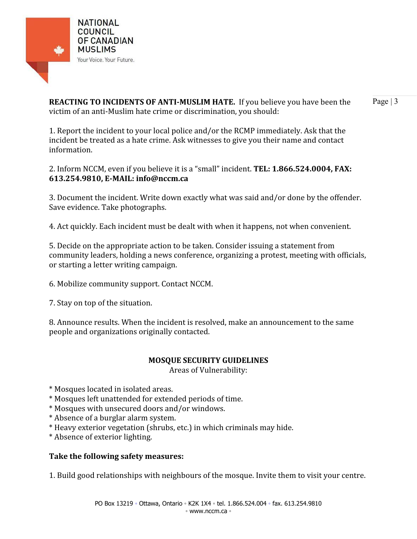

**REACTING TO INCIDENTS OF ANTI-MUSLIM HATE.** If you believe you have been the Page | 3 victim of an anti‐Muslim hate crime or discrimination, you should:

1. Report the incident to your local police and/or the RCMP immediately. Ask that the incident be treated as a hate crime. Ask witnesses to give you their name and contact information.

2. Inform NCCM, even if you believe it is a "small" incident. **TEL: 1.866.524.0004, FAX: 613.254.9810, EMAIL: info@nccm.ca**

3. Document the incident. Write down exactly what was said and/or done by the offender. Save evidence. Take photographs.

4. Act quickly. Each incident must be dealt with when it happens, not when convenient.

5. Decide on the appropriate action to be taken. Consider issuing a statement from community leaders, holding a news conference, organizing a protest, meeting with officials, or starting a letter writing campaign.

6. Mobilize community support. Contact NCCM.

7. Stay on top of the situation.

8. Announce results. When the incident is resolved, make an announcement to the same people and organizations originally contacted.

#### **MOSQUE SECURITY GUIDELINES**

Areas of Vulnerability:

\* Mosques located in isolated areas.

- \* Mosques left unattended for extended periods of time.
- \* Mosques with unsecured doors and/or windows.
- \* Absence of a burglar alarm system.
- \* Heavy exterior vegetation (shrubs, etc.) in which criminals may hide.
- \* Absence of exterior lighting.

## **Take the following safety measures:**

1. Build good relationships with neighbours of the mosque. Invite them to visit your centre.